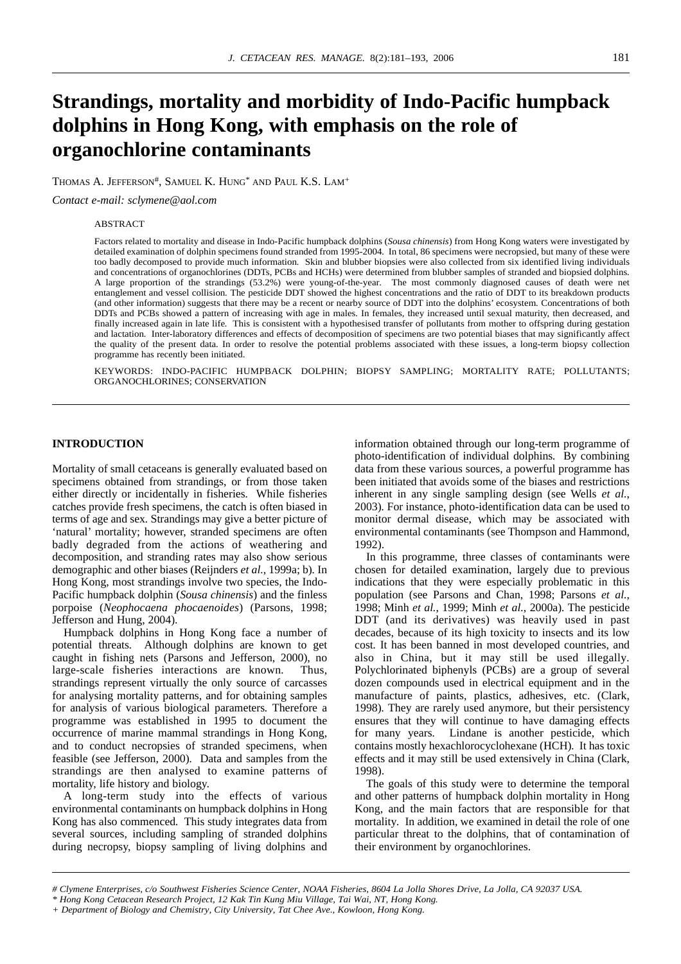# **Strandings, mortality and morbidity of Indo-Pacific humpback dolphins in Hong Kong, with emphasis on the role of organochlorine contaminants**

THOMAS A. JEFFERSON#, SAMUEL K. HUNG\* AND PAUL K.S. LAM+

*Contact e-mail: sclymene@aol.com*

## ABSTRACT

Factors related to mortality and disease in Indo-Pacific humpback dolphins (*Sousa chinensis*) from Hong Kong waters were investigated by detailed examination of dolphin specimens found stranded from 1995-2004*.* In total, 86 specimens were necropsied, but many of these were too badly decomposed to provide much information*.* Skin and blubber biopsies were also collected from six identified living individuals and concentrations of organochlorines (DDTs, PCBs and HCHs) were determined from blubber samples of stranded and biopsied dolphins*.* A large proportion of the strandings (53.2%) were young-of-the-year*.* The most commonly diagnosed causes of death were net entanglement and vessel collision*.* The pesticide DDT showed the highest concentrations and the ratio of DDT to its breakdown products (and other information) suggests that there may be a recent or nearby source of DDT into the dolphins' ecosystem*.* Concentrations of both DDTs and PCBs showed a pattern of increasing with age in males*.* In females, they increased until sexual maturity, then decreased, and finally increased again in late life*.* This is consistent with a hypothesised transfer of pollutants from mother to offspring during gestation and lactation*.* Inter-laboratory differences and effects of decomposition of specimens are two potential biases that may significantly affect the quality of the present data*.* In order to resolve the potential problems associated with these issues, a long-term biopsy collection programme has recently been initiated.

KEYWORDS: INDO-PACIFIC HUMPBACK DOLPHIN; BIOPSY SAMPLING; MORTALITY RATE; POLLUTANTS; ORGANOCHLORINES; CONSERVATION

## **INTRODUCTION**

Mortality of small cetaceans is generally evaluated based on specimens obtained from strandings, or from those taken either directly or incidentally in fisheries*.* While fisheries catches provide fresh specimens, the catch is often biased in terms of age and sex*.* Strandings may give a better picture of 'natural' mortality; however, stranded specimens are often badly degraded from the actions of weathering and decomposition, and stranding rates may also show serious demographic and other biases (Reijnders *et al.*, 1999a; b)*.* In Hong Kong, most strandings involve two species, the Indo-Pacific humpback dolphin (*Sousa chinensis*) and the finless porpoise (*Neophocaena phocaenoides*) (Parsons, 1998; Jefferson and Hung, 2004).

Humpback dolphins in Hong Kong face a number of potential threats*.* Although dolphins are known to get caught in fishing nets (Parsons and Jefferson, 2000), no large-scale fisheries interactions are known*.* Thus, strandings represent virtually the only source of carcasses for analysing mortality patterns, and for obtaining samples for analysis of various biological parameters*.* Therefore a programme was established in 1995 to document the occurrence of marine mammal strandings in Hong Kong, and to conduct necropsies of stranded specimens, when feasible (see Jefferson, 2000)*.* Data and samples from the strandings are then analysed to examine patterns of mortality, life history and biology.

A long-term study into the effects of various environmental contaminants on humpback dolphins in Hong Kong has also commenced*.* This study integrates data from several sources, including sampling of stranded dolphins during necropsy, biopsy sampling of living dolphins and information obtained through our long-term programme of photo-identification of individual dolphins*.* By combining data from these various sources, a powerful programme has been initiated that avoids some of the biases and restrictions inherent in any single sampling design (see Wells *et al.*, 2003)*.* For instance, photo-identification data can be used to monitor dermal disease, which may be associated with environmental contaminants (see Thompson and Hammond, 1992).

In this programme, three classes of contaminants were chosen for detailed examination, largely due to previous indications that they were especially problematic in this population (see Parsons and Chan, 1998; Parsons *et al.*, 1998; Minh *et al.*, 1999; Minh *et al.*, 2000a)*.* The pesticide DDT (and its derivatives) was heavily used in past decades, because of its high toxicity to insects and its low cost*.* It has been banned in most developed countries, and also in China, but it may still be used illegally*.* Polychlorinated biphenyls (PCBs) are a group of several dozen compounds used in electrical equipment and in the manufacture of paints, plastics, adhesives, etc. (Clark, 1998)*.* They are rarely used anymore, but their persistency ensures that they will continue to have damaging effects for many years*.* Lindane is another pesticide, which contains mostly hexachlorocyclohexane (HCH)*.* It has toxic effects and it may still be used extensively in China (Clark, 1998).

The goals of this study were to determine the temporal and other patterns of humpback dolphin mortality in Hong Kong, and the main factors that are responsible for that mortality*.* In addition, we examined in detail the role of one particular threat to the dolphins, that of contamination of their environment by organochlorines.

*<sup>#</sup> Clymene Enterprises, c/o Southwest Fisheries Science Center, NOAA Fisheries, 8604 La Jolla Shores Drive, La Jolla, CA 92037 USA.*

*<sup>\*</sup> Hong Kong Cetacean Research Project, 12 Kak Tin Kung Miu Village, Tai Wai, NT, Hong Kong.*

*<sup>+</sup> Department of Biology and Chemistry, City University, Tat Chee Ave., Kowloon, Hong Kong.*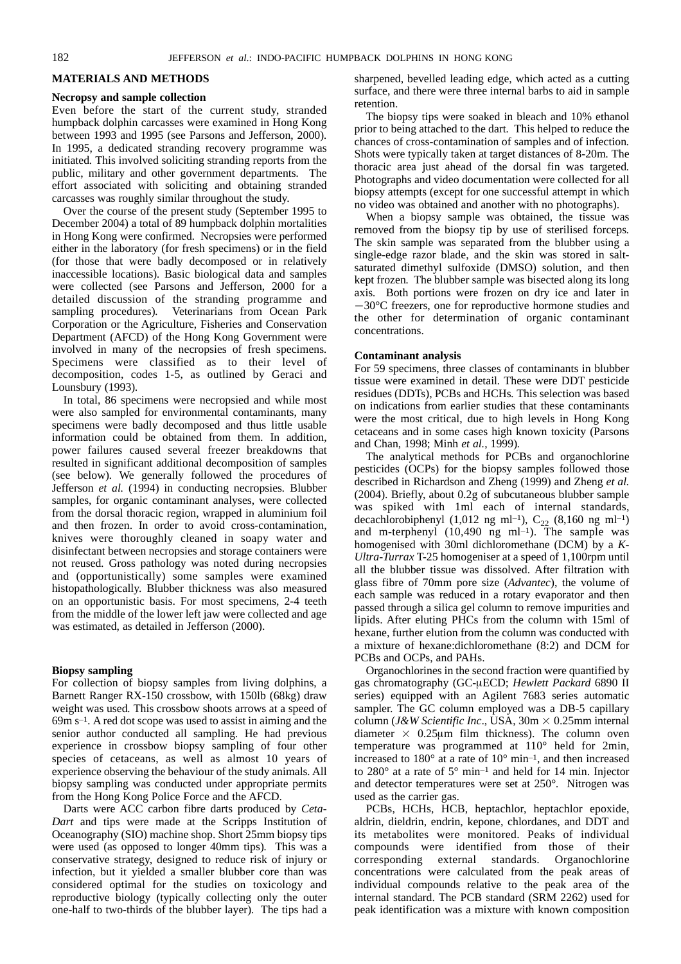## **MATERIALS AND METHODS**

#### **Necropsy and sample collection**

Even before the start of the current study, stranded humpback dolphin carcasses were examined in Hong Kong between 1993 and 1995 (see Parsons and Jefferson, 2000)*.* In 1995, a dedicated stranding recovery programme was initiated*.* This involved soliciting stranding reports from the public, military and other government departments*.* The effort associated with soliciting and obtaining stranded carcasses was roughly similar throughout the study.

Over the course of the present study (September 1995 to December 2004) a total of 89 humpback dolphin mortalities in Hong Kong were confirmed*.* Necropsies were performed either in the laboratory (for fresh specimens) or in the field (for those that were badly decomposed or in relatively inaccessible locations)*.* Basic biological data and samples were collected (see Parsons and Jefferson, 2000 for a detailed discussion of the stranding programme and sampling procedures)*.* Veterinarians from Ocean Park Corporation or the Agriculture, Fisheries and Conservation Department (AFCD) of the Hong Kong Government were involved in many of the necropsies of fresh specimens*.* Specimens were classified as to their level of decomposition, codes 1-5, as outlined by Geraci and Lounsbury (1993)*.* 

In total, 86 specimens were necropsied and while most were also sampled for environmental contaminants, many specimens were badly decomposed and thus little usable information could be obtained from them*.* In addition, power failures caused several freezer breakdowns that resulted in significant additional decomposition of samples (see below)*.* We generally followed the procedures of Jefferson *et al.* (1994) in conducting necropsies*.* Blubber samples, for organic contaminant analyses, were collected from the dorsal thoracic region, wrapped in aluminium foil and then frozen. In order to avoid cross-contamination, knives were thoroughly cleaned in soapy water and disinfectant between necropsies and storage containers were not reused*.* Gross pathology was noted during necropsies and (opportunistically) some samples were examined histopathologically. Blubber thickness was also measured on an opportunistic basis. For most specimens, 2-4 teeth from the middle of the lower left jaw were collected and age was estimated, as detailed in Jefferson (2000).

## **Biopsy sampling**

For collection of biopsy samples from living dolphins, a Barnett Ranger RX-150 crossbow, with 150lb (68kg) draw weight was used*.* This crossbow shoots arrows at a speed of 69m s–1*.* A red dot scope was used to assist in aiming and the senior author conducted all sampling*.* He had previous experience in crossbow biopsy sampling of four other species of cetaceans, as well as almost 10 years of experience observing the behaviour of the study animals*.* All biopsy sampling was conducted under appropriate permits from the Hong Kong Police Force and the AFCD.

Darts were ACC carbon fibre darts produced by *Ceta-Dart* and tips were made at the Scripps Institution of Oceanography (SIO) machine shop. Short 25mm biopsy tips were used (as opposed to longer 40mm tips)*.* This was a conservative strategy, designed to reduce risk of injury or infection, but it yielded a smaller blubber core than was considered optimal for the studies on toxicology and reproductive biology (typically collecting only the outer one-half to two-thirds of the blubber layer)*.* The tips had a sharpened, bevelled leading edge, which acted as a cutting surface, and there were three internal barbs to aid in sample retention.

The biopsy tips were soaked in bleach and 10% ethanol prior to being attached to the dart*.* This helped to reduce the chances of cross-contamination of samples and of infection*.* Shots were typically taken at target distances of 8-20m*.* The thoracic area just ahead of the dorsal fin was targeted*.* Photographs and video documentation were collected for all biopsy attempts (except for one successful attempt in which no video was obtained and another with no photographs).

When a biopsy sample was obtained, the tissue was removed from the biopsy tip by use of sterilised forceps*.* The skin sample was separated from the blubber using a single-edge razor blade, and the skin was stored in saltsaturated dimethyl sulfoxide (DMSO) solution, and then kept frozen*.* The blubber sample was bisected along its long axis*.* Both portions were frozen on dry ice and later in  $-30^{\circ}$ C freezers, one for reproductive hormone studies and the other for determination of organic contaminant concentrations.

#### **Contaminant analysis**

For 59 specimens, three classes of contaminants in blubber tissue were examined in detail*.* These were DDT pesticide residues (DDTs), PCBs and HCHs*.* This selection was based on indications from earlier studies that these contaminants were the most critical, due to high levels in Hong Kong cetaceans and in some cases high known toxicity (Parsons and Chan, 1998; Minh *et al.*, 1999)*.* 

The analytical methods for PCBs and organochlorine pesticides (OCPs) for the biopsy samples followed those described in Richardson and Zheng (1999) and Zheng *et al.* (2004). Briefly, about 0.2g of subcutaneous blubber sample was spiked with 1ml each of internal standards, decachlorobiphenyl (1,012 ng ml<sup>-1</sup>),  $C_{22}$  (8,160 ng ml<sup>-1</sup>) and m-terphenyl  $(10,490 \text{ ng ml-1})$ . The sample was homogenised with 30ml dichloromethane (DCM) by a *K-Ultra-Turrax* T-25 homogeniser at a speed of 1,100rpm until all the blubber tissue was dissolved. After filtration with glass fibre of 70mm pore size (*Advantec*), the volume of each sample was reduced in a rotary evaporator and then passed through a silica gel column to remove impurities and lipids. After eluting PHCs from the column with 15ml of hexane, further elution from the column was conducted with a mixture of hexane:dichloromethane (8:2) and DCM for PCBs and OCPs, and PAHs.

Organochlorines in the second fraction were quantified by gas chromatography (GC-mECD; *Hewlett Packard* 6890 II series) equipped with an Agilent 7683 series automatic sampler. The GC column employed was a DB-5 capillary column (*J&W Scientific Inc.*, USA, 30m  $\times$  0.25mm internal diameter  $\times$  0.25 $\mu$ m film thickness). The column oven temperature was programmed at 110° held for 2min, increased to 180° at a rate of 10° min–1, and then increased to  $280^\circ$  at a rate of  $5^\circ$  min<sup>-1</sup> and held for 14 min. Injector and detector temperatures were set at 250°*.* Nitrogen was used as the carrier gas.

PCBs, HCHs, HCB, heptachlor, heptachlor epoxide, aldrin, dieldrin, endrin, kepone, chlordanes, and DDT and its metabolites were monitored. Peaks of individual compounds were identified from those of their corresponding external standards. Organochlorine concentrations were calculated from the peak areas of individual compounds relative to the peak area of the internal standard. The PCB standard (SRM 2262) used for peak identification was a mixture with known composition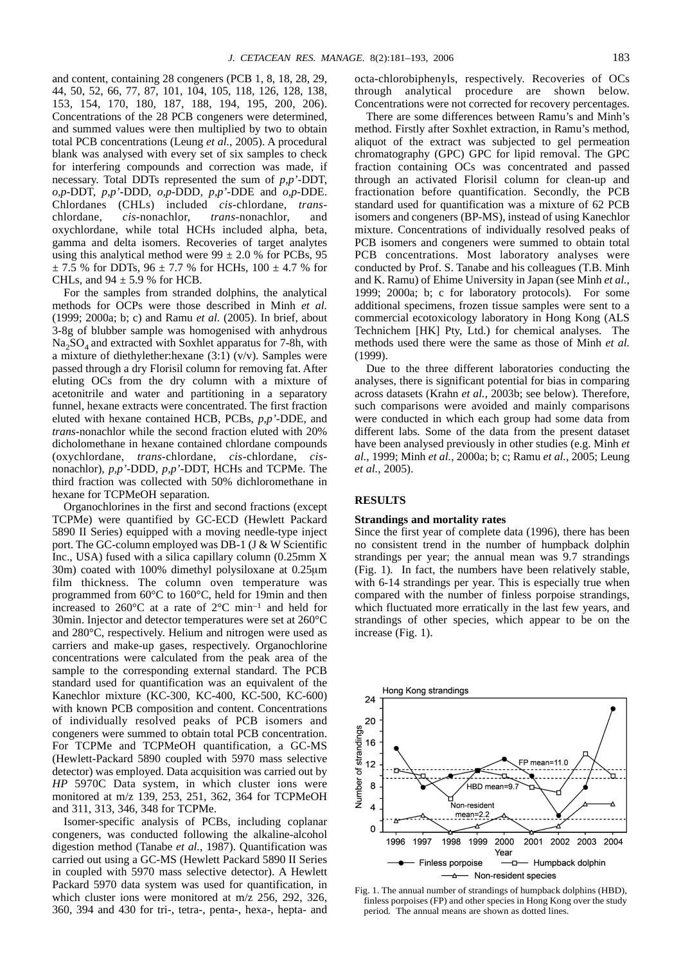and content, containing 28 congeners (PCB 1, 8, 18, 28, 29, 44, 50, 52, 66, 77, 87, 101, 104, 105, 118, 126, 128, 138, 153, 154, 170, 180, 187, 188, 194, 195, 200, 206). Concentrations of the 28 PCB congeners were determined, and summed values were then multiplied by two to obtain total PCB concentrations (Leung *et al.*, 2005). A procedural blank was analysed with every set of six samples to check for interfering compounds and correction was made, if necessary. Total DDTs represented the sum of *p,p'*-DDT, *o,p*-DDT, *p,p'*-DDD, *o,p*-DDD, *p,p'*-DDE and *o,p*-DDE. Chlordanes (CHLs) included *cis*-chlordane, *trans*chlordane, *cis*-nonachlor, *trans*-nonachlor, and oxychlordane, while total HCHs included alpha, beta, gamma and delta isomers. Recoveries of target analytes using this analytical method were  $99 \pm 2.0$  % for PCBs, 95  $\pm$  7.5 % for DDTs, 96  $\pm$  7.7 % for HCHs, 100  $\pm$  4.7 % for CHLs, and  $94 \pm 5.9$  % for HCB.

For the samples from stranded dolphins, the analytical methods for OCPs were those described in Minh *et al.* (1999; 2000a; b; c) and Ramu *et al.* (2005). In brief, about 3-8g of blubber sample was homogenised with anhydrous  $Na<sub>2</sub>SO<sub>4</sub>$  and extracted with Soxhlet apparatus for 7-8h, with a mixture of diethylether:hexane (3:1) (v/v). Samples were passed through a dry Florisil column for removing fat. After eluting OCs from the dry column with a mixture of acetonitrile and water and partitioning in a separatory funnel, hexane extracts were concentrated. The first fraction eluted with hexane contained HCB, PCBs, *p,p'*-DDE, and *trans*-nonachlor while the second fraction eluted with 20% dicholomethane in hexane contained chlordane compounds (oxychlordane, *trans*-chlordane, *cis*-chlordane, *cis*nonachlor), *p,p'*-DDD, *p,p'*-DDT, HCHs and TCPMe. The third fraction was collected with 50% dichloromethane in hexane for TCPMeOH separation.

Organochlorines in the first and second fractions (except TCPMe) were quantified by GC-ECD (Hewlett Packard 5890 II Series) equipped with a moving needle-type inject port. The GC-column employed was DB-1 (J & W Scientific Inc., USA) fused with a silica capillary column (0.25mm X 30m) coated with 100% dimethyl polysiloxane at 0.25 $\mu$ m film thickness. The column oven temperature was programmed from 60°C to 160°C, held for 19min and then increased to 260°C at a rate of 2°C min–1 and held for 30min. Injector and detector temperatures were set at 260°C and 280°C, respectively. Helium and nitrogen were used as carriers and make-up gases, respectively. Organochlorine concentrations were calculated from the peak area of the sample to the corresponding external standard. The PCB standard used for quantification was an equivalent of the Kanechlor mixture (KC-300, KC-400, KC-500, KC-600) with known PCB composition and content. Concentrations of individually resolved peaks of PCB isomers and congeners were summed to obtain total PCB concentration. For TCPMe and TCPMeOH quantification, a GC-MS (Hewlett-Packard 5890 coupled with 5970 mass selective detector) was employed. Data acquisition was carried out by *HP* 5970C Data system, in which cluster ions were monitored at m/z 139, 253, 251, 362, 364 for TCPMeOH and 311, 313, 346, 348 for TCPMe.

Isomer-specific analysis of PCBs, including coplanar congeners, was conducted following the alkaline-alcohol digestion method (Tanabe *et al.*, 1987). Quantification was carried out using a GC-MS (Hewlett Packard 5890 II Series in coupled with 5970 mass selective detector). A Hewlett Packard 5970 data system was used for quantification, in which cluster ions were monitored at m/z 256, 292, 326, 360, 394 and 430 for tri-, tetra-, penta-, hexa-, hepta- and octa-chlorobiphenyls, respectively. Recoveries of OCs through analytical procedure are shown below. Concentrations were not corrected for recovery percentages.

There are some differences between Ramu's and Minh's method. Firstly after Soxhlet extraction, in Ramu's method, aliquot of the extract was subjected to gel permeation chromatography (GPC) GPC for lipid removal. The GPC fraction containing OCs was concentrated and passed through an activated Florisil column for clean-up and fractionation before quantification. Secondly, the PCB standard used for quantification was a mixture of 62 PCB isomers and congeners (BP-MS), instead of using Kanechlor mixture. Concentrations of individually resolved peaks of PCB isomers and congeners were summed to obtain total PCB concentrations. Most laboratory analyses were conducted by Prof. S. Tanabe and his colleagues (T.B. Minh and K. Ramu) of Ehime University in Japan (see Minh *et al.*, 1999; 2000a; b; c for laboratory protocols)*.* For some additional specimens, frozen tissue samples were sent to a commercial ecotoxicology laboratory in Hong Kong (ALS Technichem [HK] Pty, Ltd.) for chemical analyses*.* The methods used there were the same as those of Minh *et al.* (1999).

Due to the three different laboratories conducting the analyses, there is significant potential for bias in comparing across datasets (Krahn *et al.*, 2003b; see below)*.* Therefore, such comparisons were avoided and mainly comparisons were conducted in which each group had some data from different labs*.* Some of the data from the present dataset have been analysed previously in other studies (e.g. Minh *et al.*, 1999; Minh *et al.*, 2000a; b; c; Ramu *et al.*, 2005; Leung *et al.*, 2005).

## **RESULTS**

#### **Strandings and mortality rates**

Since the first year of complete data (1996), there has been no consistent trend in the number of humpback dolphin strandings per year; the annual mean was 9.7 strandings (Fig. 1)*.* In fact, the numbers have been relatively stable, with 6-14 strandings per year*.* This is especially true when compared with the number of finless porpoise strandings, which fluctuated more erratically in the last few years, and strandings of other species, which appear to be on the increase (Fig. 1).



Fig. 1. The annual number of strandings of humpback dolphins (HBD), finless porpoises (FP) and other species in Hong Kong over the study period*.* The annual means are shown as dotted lines.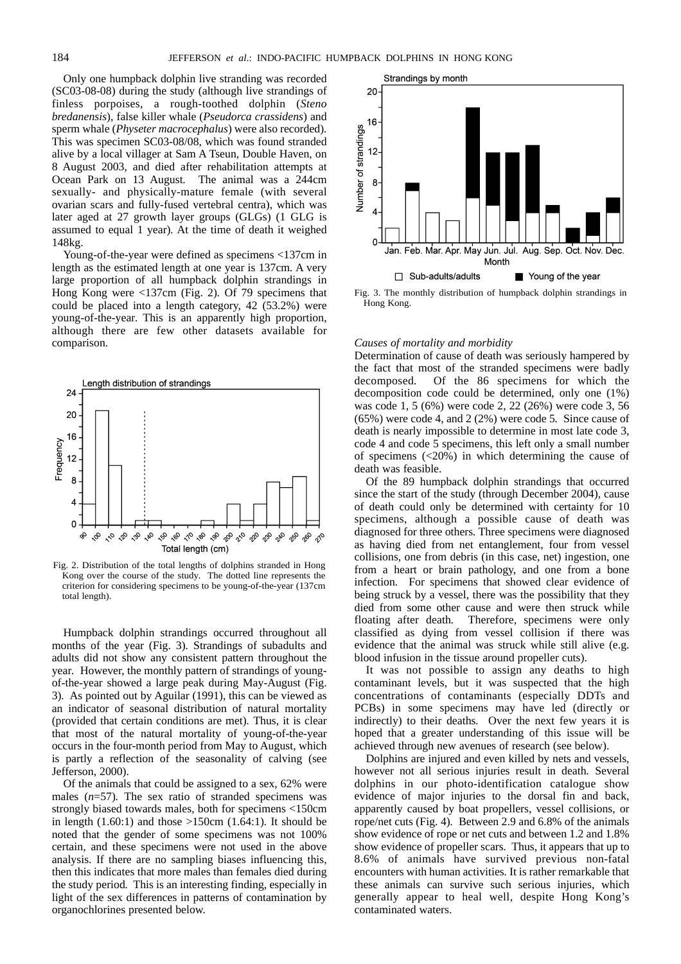Only one humpback dolphin live stranding was recorded (SC03-08-08) during the study (although live strandings of finless porpoises, a rough-toothed dolphin (*Steno bredanensis*), false killer whale (*Pseudorca crassidens*) and sperm whale (*Physeter macrocephalus*) were also recorded)*.* This was specimen SC03-08/08, which was found stranded alive by a local villager at Sam A Tseun, Double Haven, on 8 August 2003, and died after rehabilitation attempts at Ocean Park on 13 August*.* The animal was a 244cm sexually- and physically-mature female (with several ovarian scars and fully-fused vertebral centra), which was later aged at 27 growth layer groups (GLGs) (1 GLG is assumed to equal 1 year)*.* At the time of death it weighed 148kg.

Young-of-the-year were defined as specimens <137cm in length as the estimated length at one year is 137cm*.* A very large proportion of all humpback dolphin strandings in Hong Kong were <137cm (Fig. 2)*.* Of 79 specimens that could be placed into a length category, 42 (53.2%) were young-of-the-year*.* This is an apparently high proportion, although there are few other datasets available for comparison.



Fig. 2. Distribution of the total lengths of dolphins stranded in Hong Kong over the course of the study*.* The dotted line represents the criterion for considering specimens to be young-of-the-year (137cm total length).

Humpback dolphin strandings occurred throughout all months of the year (Fig. 3)*.* Strandings of subadults and adults did not show any consistent pattern throughout the year*.* However, the monthly pattern of strandings of youngof-the-year showed a large peak during May-August (Fig. 3)*.* As pointed out by Aguilar (1991), this can be viewed as an indicator of seasonal distribution of natural mortality (provided that certain conditions are met)*.* Thus, it is clear that most of the natural mortality of young-of-the-year occurs in the four-month period from May to August, which is partly a reflection of the seasonality of calving (see Jefferson, 2000).

Of the animals that could be assigned to a sex, 62% were males (*n*=57)*.* The sex ratio of stranded specimens was strongly biased towards males, both for specimens <150cm in length (1.60:1) and those >150cm (1.64:1)*.* It should be noted that the gender of some specimens was not 100% certain, and these specimens were not used in the above analysis. If there are no sampling biases influencing this, then this indicates that more males than females died during the study period*.* This is an interesting finding, especially in light of the sex differences in patterns of contamination by organochlorines presented below.



Fig. 3. The monthly distribution of humpback dolphin strandings in Hong Kong.

## *Causes of mortality and morbidity*

Determination of cause of death was seriously hampered by the fact that most of the stranded specimens were badly decomposed*.* Of the 86 specimens for which the decomposition code could be determined, only one (1%) was code 1, 5 (6%) were code 2, 22 (26%) were code 3, 56 (65%) were code 4, and 2 (2%) were code 5*.* Since cause of death is nearly impossible to determine in most late code 3, code 4 and code 5 specimens, this left only a small number of specimens (<20%) in which determining the cause of death was feasible.

Of the 89 humpback dolphin strandings that occurred since the start of the study (through December 2004), cause of death could only be determined with certainty for 10 specimens, although a possible cause of death was diagnosed for three others*.* Three specimens were diagnosed as having died from net entanglement, four from vessel collisions, one from debris (in this case, net) ingestion, one from a heart or brain pathology, and one from a bone infection*.* For specimens that showed clear evidence of being struck by a vessel, there was the possibility that they died from some other cause and were then struck while floating after death*.* Therefore, specimens were only classified as dying from vessel collision if there was evidence that the animal was struck while still alive (e.g. blood infusion in the tissue around propeller cuts).

It was not possible to assign any deaths to high contaminant levels, but it was suspected that the high concentrations of contaminants (especially DDTs and PCBs) in some specimens may have led (directly or indirectly) to their deaths*.* Over the next few years it is hoped that a greater understanding of this issue will be achieved through new avenues of research (see below).

Dolphins are injured and even killed by nets and vessels, however not all serious injuries result in death*.* Several dolphins in our photo-identification catalogue show evidence of major injuries to the dorsal fin and back, apparently caused by boat propellers, vessel collisions, or rope/net cuts (Fig. 4)*.* Between 2.9 and 6.8% of the animals show evidence of rope or net cuts and between 1.2 and 1.8% show evidence of propeller scars*.* Thus, it appears that up to 8.6% of animals have survived previous non-fatal encounters with human activities*.* It is rather remarkable that these animals can survive such serious injuries, which generally appear to heal well, despite Hong Kong's contaminated waters.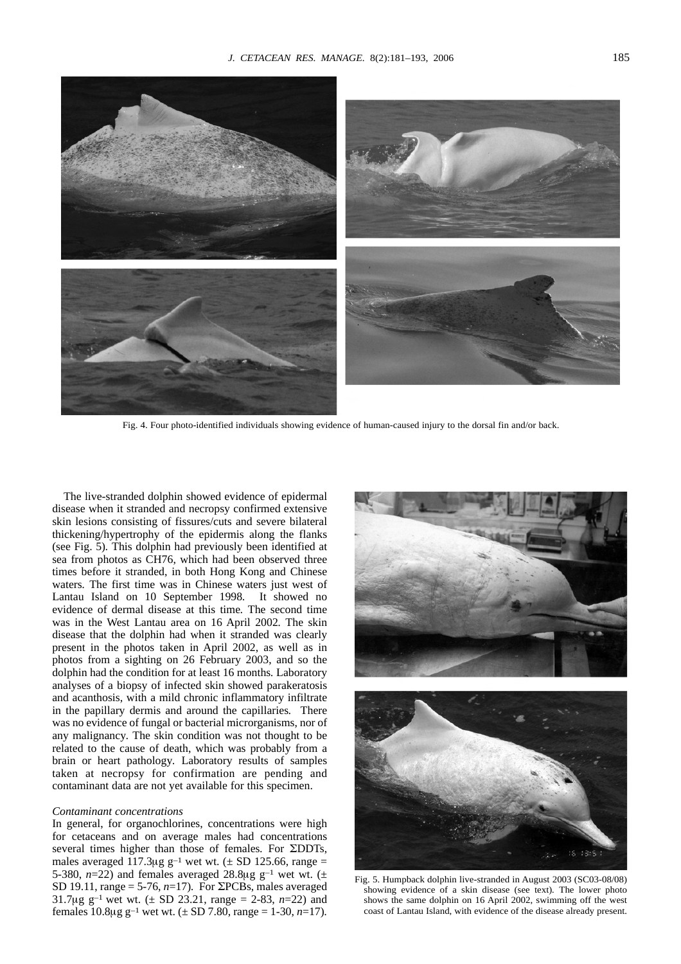

Fig. 4. Four photo-identified individuals showing evidence of human-caused injury to the dorsal fin and/or back.

The live-stranded dolphin showed evidence of epidermal disease when it stranded and necropsy confirmed extensive skin lesions consisting of fissures/cuts and severe bilateral thickening/hypertrophy of the epidermis along the flanks (see Fig. 5)*.* This dolphin had previously been identified at sea from photos as CH76, which had been observed three times before it stranded, in both Hong Kong and Chinese waters*.* The first time was in Chinese waters just west of Lantau Island on 10 September 1998*.* It showed no evidence of dermal disease at this time*.* The second time was in the West Lantau area on 16 April 2002*.* The skin disease that the dolphin had when it stranded was clearly present in the photos taken in April 2002, as well as in photos from a sighting on 26 February 2003, and so the dolphin had the condition for at least 16 months*.* Laboratory analyses of a biopsy of infected skin showed parakeratosis and acanthosis, with a mild chronic inflammatory infiltrate in the papillary dermis and around the capillaries*.* There was no evidence of fungal or bacterial microrganisms, nor of any malignancy*.* The skin condition was not thought to be related to the cause of death, which was probably from a brain or heart pathology*.* Laboratory results of samples taken at necropsy for confirmation are pending and contaminant data are not yet available for this specimen.

#### *Contaminant concentrations*

In general, for organochlorines, concentrations were high for cetaceans and on average males had concentrations several times higher than those of females. For **ZDDTs**, males averaged 117.3 $\mu$ g g<sup>-1</sup> wet wt. ( $\pm$  SD 125.66, range = 5-380,  $n=22$ ) and females averaged 28.8 $\mu$ g g<sup>-1</sup> wet wt. ( $\pm$ SD 19.11, range = 5-76,  $n=17$ ). For  $\Sigma$ PCBs, males averaged 31.7 $\mu$ g g<sup>-1</sup> wet wt. ( $\pm$  SD 23.21, range = 2-83, *n*=22) and females  $10.8\mu$ g g<sup>-1</sup> wet wt. ( $\pm$  SD 7.80, range = 1-30, *n*=17).



Fig. 5. Humpback dolphin live-stranded in August 2003 (SC03-08/08) showing evidence of a skin disease (see text)*.* The lower photo shows the same dolphin on 16 April 2002, swimming off the west coast of Lantau Island, with evidence of the disease already present.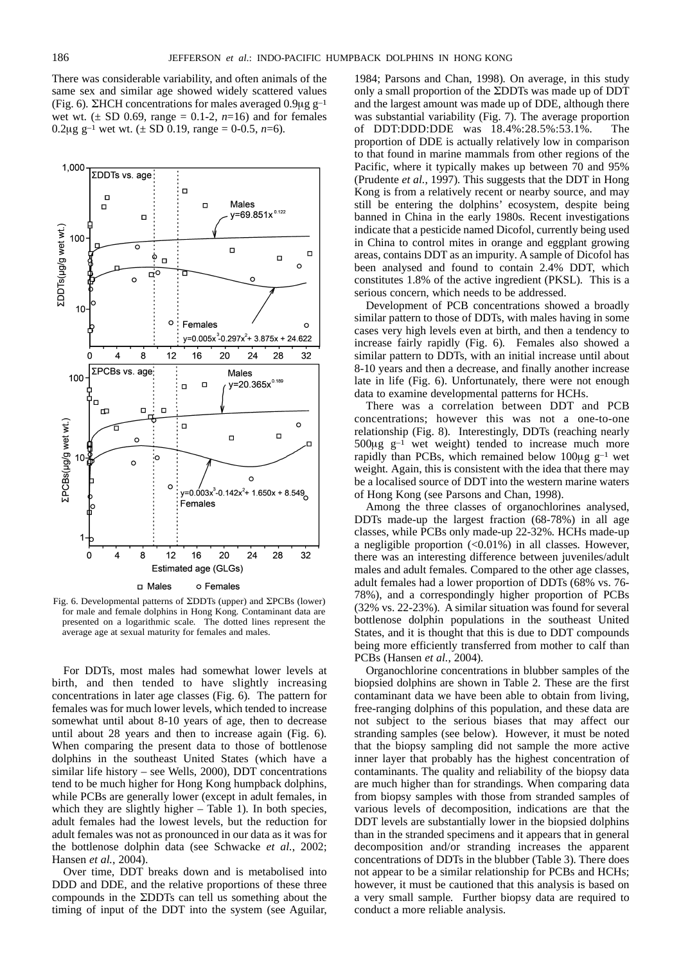There was considerable variability, and often animals of the same sex and similar age showed widely scattered values (Fig. 6).  $\Sigma$ HCH concentrations for males averaged 0.9 $\mu$ g g<sup>-1</sup> wet wt. ( $\pm$  SD 0.69, range = 0.1-2,  $n=16$ ) and for females 0.2 $\mu$ g g<sup>-1</sup> wet wt. ( $\pm$  SD 0.19, range = 0-0.5, *n*=6).



Fig. 6. Developmental patterns of SDDTs (upper) and SPCBs (lower) for male and female dolphins in Hong Kong*.* Contaminant data are presented on a logarithmic scale*.* The dotted lines represent the average age at sexual maturity for females and males.

For DDTs, most males had somewhat lower levels at birth, and then tended to have slightly increasing concentrations in later age classes (Fig. 6)*.* The pattern for females was for much lower levels, which tended to increase somewhat until about 8-10 years of age, then to decrease until about 28 years and then to increase again (Fig. 6)*.* When comparing the present data to those of bottlenose dolphins in the southeast United States (which have a similar life history – see Wells, 2000), DDT concentrations tend to be much higher for Hong Kong humpback dolphins, while PCBs are generally lower (except in adult females, in which they are slightly higher – Table 1)*.* In both species, adult females had the lowest levels, but the reduction for adult females was not as pronounced in our data as it was for the bottlenose dolphin data (see Schwacke *et al.*, 2002; Hansen *et al.*, 2004).

Over time, DDT breaks down and is metabolised into DDD and DDE, and the relative proportions of these three compounds in the SDDTs can tell us something about the timing of input of the DDT into the system (see Aguilar, 1984; Parsons and Chan, 1998)*.* On average, in this study only a small proportion of the  $\Sigma$ DDTs was made up of DDT and the largest amount was made up of DDE, although there was substantial variability (Fig. 7)*.* The average proportion of DDT:DDD:DDE was 18.4%:28.5%:53.1%*.* The proportion of DDE is actually relatively low in comparison to that found in marine mammals from other regions of the Pacific, where it typically makes up between 70 and 95% (Prudente *et al.*, 1997)*.* This suggests that the DDT in Hong Kong is from a relatively recent or nearby source, and may still be entering the dolphins' ecosystem, despite being banned in China in the early 1980s*.* Recent investigations indicate that a pesticide named Dicofol, currently being used in China to control mites in orange and eggplant growing areas, contains DDT as an impurity*.* A sample of Dicofol has been analysed and found to contain 2.4% DDT, which constitutes 1.8% of the active ingredient (PKSL)*.* This is a serious concern, which needs to be addressed.

Development of PCB concentrations showed a broadly similar pattern to those of DDTs, with males having in some cases very high levels even at birth, and then a tendency to increase fairly rapidly (Fig. 6)*.* Females also showed a similar pattern to DDTs, with an initial increase until about 8-10 years and then a decrease, and finally another increase late in life (Fig. 6). Unfortunately, there were not enough data to examine developmental patterns for HCHs.

There was a correlation between DDT and PCB concentrations; however this was not a one-to-one relationship (Fig. 8)*.* Interestingly, DDTs (reaching nearly 500 $\mu$ g g<sup>-1</sup> wet weight) tended to increase much more rapidly than PCBs, which remained below  $100\mu g g^{-1}$  wet weight*.* Again, this is consistent with the idea that there may be a localised source of DDT into the western marine waters of Hong Kong (see Parsons and Chan, 1998).

Among the three classes of organochlorines analysed, DDTs made-up the largest fraction (68-78%) in all age classes, while PCBs only made-up 22-32%*.* HCHs made-up a negligible proportion (<0.01%) in all classes*.* However, there was an interesting difference between juveniles/adult males and adult females*.* Compared to the other age classes, adult females had a lower proportion of DDTs (68% vs. 76- 78%), and a correspondingly higher proportion of PCBs (32% vs. 22-23%)*.* A similar situation was found for several bottlenose dolphin populations in the southeast United States, and it is thought that this is due to DDT compounds being more efficiently transferred from mother to calf than PCBs (Hansen *et al.*, 2004)*.* 

Organochlorine concentrations in blubber samples of the biopsied dolphins are shown in Table 2*.* These are the first contaminant data we have been able to obtain from living, free-ranging dolphins of this population, and these data are not subject to the serious biases that may affect our stranding samples (see below)*.* However, it must be noted that the biopsy sampling did not sample the more active inner layer that probably has the highest concentration of contaminants. The quality and reliability of the biopsy data are much higher than for strandings*.* When comparing data from biopsy samples with those from stranded samples of various levels of decomposition, indications are that the DDT levels are substantially lower in the biopsied dolphins than in the stranded specimens and it appears that in general decomposition and/or stranding increases the apparent concentrations of DDTs in the blubber (Table 3)*.* There does not appear to be a similar relationship for PCBs and HCHs; however, it must be cautioned that this analysis is based on a very small sample*.* Further biopsy data are required to conduct a more reliable analysis.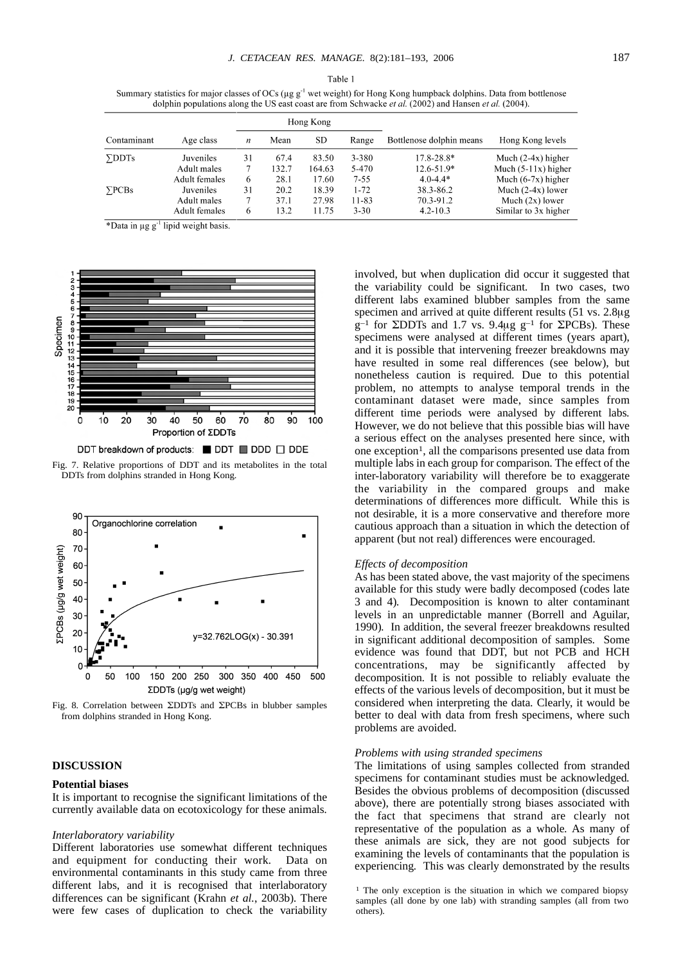Summary statistics for major classes of OCs ( $\mu$ g g<sup>-1</sup> wet weight) for Hong Kong humpback dolphins. Data from bottlenose dolphin populations along the US east coast are from Schwacke et al.  $(2002)$  and Hansen et al.  $(2004)$ .

|               |               | Hong Kong |       |        |           |                          |                       |
|---------------|---------------|-----------|-------|--------|-----------|--------------------------|-----------------------|
| Contaminant   | Age class     | n         | Mean  | SD     | Range     | Bottlenose dolphin means | Hong Kong levels      |
| $\Sigma$ DDTs | Juveniles     | 31        | 67.4  | 83.50  | 3-380     | $17.8 - 28.8*$           | Much $(2-4x)$ higher  |
|               | Adult males   |           | 132.7 | 164.63 | 5-470     | $12.6 - 51.9*$           | Much $(5-11x)$ higher |
|               | Adult females | 6         | 28.1  | 17.60  | $7 - 55$  | $4.0 - 4.4*$             | Much $(6-7x)$ higher  |
| $\Sigma$ PCBs | Juveniles     | 31        | 20.2  | 18.39  | $1 - 72$  | 38.3-86.2                | Much $(2-4x)$ lower   |
|               | Adult males   |           | 37.1  | 27.98  | $11 - 83$ | 70.3-91.2                | Much $(2x)$ lower     |
|               | Adult females | 6         | 13.2  | 11.75  | $3 - 30$  | $4.2 - 10.3$             | Similar to 3x higher  |

\*Data in µg g<sup>-1</sup> lipid weight basis.



Fig. 7. Relative proportions of DDT and its metabolites in the total

DDTs from dolphins stranded in Hong Kong*.* 



Fig. 8*.* Correlation between SDDTs and SPCBs in blubber samples from dolphins stranded in Hong Kong.

## **DISCUSSION**

#### **Potential biases**

It is important to recognise the significant limitations of the currently available data on ecotoxicology for these animals*.* 

#### *Interlaboratory variability*

Different laboratories use somewhat different techniques and equipment for conducting their work*.* Data on environmental contaminants in this study came from three different labs, and it is recognised that interlaboratory differences can be significant (Krahn *et al.*, 2003b)*.* There were few cases of duplication to check the variability involved, but when duplication did occur it suggested that the variability could be significant*.* In two cases, two different labs examined blubber samples from the same specimen and arrived at quite different results (51 vs. 2.8µg)  $g^{-1}$  for SDDTs and 1.7 vs. 9.4 $\mu$ g  $g^{-1}$  for SPCBs). These specimens were analysed at different times (years apart), and it is possible that intervening freezer breakdowns may have resulted in some real differences (see below), but nonetheless caution is required*.* Due to this potential problem, no attempts to analyse temporal trends in the contaminant dataset were made, since samples from different time periods were analysed by different labs*.* However, we do not believe that this possible bias will have a serious effect on the analyses presented here since, with one exception<sup>1</sup>, all the comparisons presented use data from multiple labs in each group for comparison*.* The effect of the inter-laboratory variability will therefore be to exaggerate the variability in the compared groups and make determinations of differences more difficult*.* While this is not desirable, it is a more conservative and therefore more cautious approach than a situation in which the detection of apparent (but not real) differences were encouraged.

#### *Effects of decomposition*

As has been stated above, the vast majority of the specimens available for this study were badly decomposed (codes late 3 and 4)*.* Decomposition is known to alter contaminant levels in an unpredictable manner (Borrell and Aguilar, 1990)*.* In addition, the several freezer breakdowns resulted in significant additional decomposition of samples*.* Some evidence was found that DDT, but not PCB and HCH concentrations, may be significantly affected by decomposition*.* It is not possible to reliably evaluate the effects of the various levels of decomposition, but it must be considered when interpreting the data*.* Clearly, it would be better to deal with data from fresh specimens, where such problems are avoided.

#### *Problems with using stranded specimens*

The limitations of using samples collected from stranded specimens for contaminant studies must be acknowledged*.* Besides the obvious problems of decomposition (discussed above), there are potentially strong biases associated with the fact that specimens that strand are clearly not representative of the population as a whole*.* As many of these animals are sick, they are not good subjects for examining the levels of contaminants that the population is experiencing*.* This was clearly demonstrated by the results

<sup>&</sup>lt;sup>1</sup> The only exception is the situation in which we compared biopsy samples (all done by one lab) with stranding samples (all from two others)*.*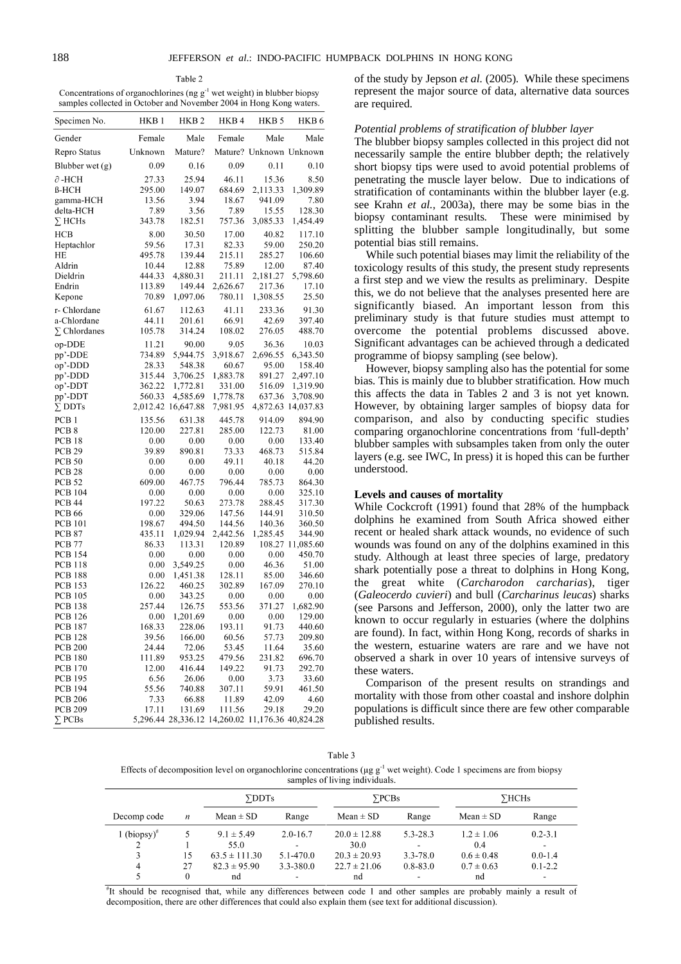Table 2 Concentrations of organochlorines (ng  $g^{-1}$  wet weight) in blubber biopsy samples collected in October and November 2004 in Hong Kong waters.

| Specimen No.                     | HKB <sub>1</sub> | HKB <sub>2</sub>                                 | HKB4             | HKB <sub>5</sub>        | HKB <sub>6</sub>   |
|----------------------------------|------------------|--------------------------------------------------|------------------|-------------------------|--------------------|
| Gender                           | Female           | Male                                             | Female           | Male                    | Male               |
| Repro Status                     | Unknown          | Mature?                                          |                  | Mature? Unknown Unknown |                    |
| Blubber wet $(g)$                | 0.09             | 0.16                                             | 0.09             | 0.11                    | 0.10               |
| $\partial$ -HCH                  | 27.33            | 25.94                                            | 46.11            | 15.36                   | 8.50               |
| $\beta$ -HCH                     | 295.00           | 149.07                                           | 684.69           | 2,113.33                | 1,309.89           |
| gamma-HCH                        | 13.56            | 3.94                                             | 18.67            | 941.09                  | 7.80               |
| delta-HCH                        | 7.89             | 3.56                                             | 7.89             | 15.55                   | 128.30             |
| $\Sigma$ HCHs                    | 343.78           | 182.51                                           | 757.36           | 3,085.33                | 1,454.49           |
| <b>HCB</b>                       | 8.00             | 30.50                                            | 17.00            | 40.82                   | 117.10             |
| Heptachlor                       | 59.56            | 17.31                                            | 82.33            | 59.00                   | 250.20             |
| HE                               | 495.78           | 139.44                                           | 215.11           | 285.27                  | 106.60             |
| Aldrin                           | 10.44            | 12.88                                            | 75.89            | 12.00                   | 87.40              |
| Dieldrin                         | 444.33           | 4,880.31                                         | 211.11           | 2,181.27                | 5,798.60           |
| Endrin                           | 113.89           | 149.44                                           | 2,626.67         | 217.36                  | 17.10              |
| Kepone                           | 70.89            | 1,097.06                                         | 780.11           | 1,308.55                | 25.50              |
| r- Chlordane                     | 61.67            | 112.63                                           | 41.11            | 233.36                  | 91.30              |
| a-Chlordane                      | 44.11            | 201.61                                           | 66.91            | 42.69                   | 397.40             |
| $\Sigma$ Chlordanes              | 105.78           | 314.24                                           | 108.02           | 276.05                  | 488.70             |
|                                  |                  |                                                  |                  |                         |                    |
| op-DDE                           | 11.21            | 90.00                                            | 9.05             | 36.36                   | 10.03              |
| pp'-DDE                          | 734.89           | 5,944.75                                         | 3,918.67         | 2,696.55                | 6,343.50           |
| op'-DDD                          | 28.33            | 548.38                                           | 60.67            | 95.00                   | 158.40             |
| pp'-DDD                          | 315.44           | 3,706.25                                         | 1,883.78         | 891.27                  | 2,497.10           |
| op'-DDT                          | 362.22           | 1,772.81                                         | 331.00           | 516.09                  | 1,319.90           |
| pp'-DDT                          | 560.33           | 4,585.69                                         | 1,778.78         | 637.36                  | 3,708.90           |
| $\Sigma$ DDTs                    | 2,012.42         | 16,647.88                                        | 7,981.95         |                         | 4,872.63 14,037.83 |
| PCB <sub>1</sub>                 | 135.56           | 631.38                                           | 445.78           | 914.09                  | 894.90             |
| PCB <sub>8</sub>                 | 120.00           | 227.81                                           | 285.00           | 122.73                  | 81.00              |
| PCB <sub>18</sub>                | 0.00             | 0.00                                             | 0.00             | 0.00                    | 133.40             |
| PCB <sub>29</sub>                | 39.89            | 890.81                                           | 73.33            | 468.73                  | 515.84             |
| PCB 50                           | 0.00             | 0.00                                             | 49.11            | 40.18                   | 44.20              |
| PCB <sub>28</sub>                | 0.00             | 0.00                                             | 0.00             | $_{0.00}$               | 0.00               |
| <b>PCB 52</b>                    | 609.00           | 467.75                                           | 796.44           | 785.73                  | 864.30             |
| <b>PCB 104</b>                   | 0.00             | 0.00                                             | 0.00             | 0.00                    | 325.10             |
| <b>PCB 44</b>                    | 197.22           | 50.63                                            | 273.78           | 288.45                  | 317.30             |
| <b>PCB 66</b>                    | 0.00             | 329.06                                           | 147.56           | 144.91                  | 310.50             |
| <b>PCB 101</b>                   | 198.67           | 494.50                                           | 144.56           | 140.36                  | 360.50             |
| <b>PCB 87</b>                    | 435.11           | 1,029.94                                         | 2,442.56         | 1,285.45                | 344.90             |
| PCB <sub>77</sub>                | 86.33            | 113.31                                           | 120.89           |                         | 108.27 11,085.60   |
| <b>PCB 154</b>                   | 0.00             | 0.00                                             | 0.00             | 0.00                    | 450.70             |
| <b>PCB 118</b>                   | 0.00             | 3,549.25                                         | 0.00             | 46.36                   | 51.00              |
| <b>PCB 188</b>                   | 0.00             | 1,451.38                                         | 128.11           | 85.00                   | 346.60             |
| <b>PCB 153</b>                   | 126.22           | 460.25                                           | 302.89           | 167.09                  | 270.10             |
| <b>PCB 105</b>                   | 0.00             | 343.25                                           | 0.00             | 0.00                    | 0.00               |
| <b>PCB 138</b>                   | 257.44           | 126.75                                           | 553.56           | 371.27                  | 1,682.90           |
| PCB 126                          | 0.00             | 1.201.69                                         | 0.00             | 0.00                    | 129.00             |
| PCB 187                          | 168.33           | 228.06                                           | 193.11           | 91.73                   | 440.60             |
| <b>PCB 128</b><br><b>PCB 200</b> | 39.56<br>24.44   | 166.00<br>72.06                                  | 60.56<br>53.45   | 57.73<br>11.64          | 209.80<br>35.60    |
|                                  |                  |                                                  |                  |                         |                    |
| <b>PCB 180</b><br><b>PCB 170</b> | 111.89<br>12.00  | 953.25<br>416.44                                 | 479.56<br>149.22 | 231.82<br>91.73         | 696.70<br>292.70   |
| <b>PCB 195</b>                   | 6.56             | 26.06                                            | 0.00             | 3.73                    | 33.60              |
| <b>PCB 194</b>                   | 55.56            | 740.88                                           | 307.11           | 59.91                   | 461.50             |
| <b>PCB 206</b>                   | 7.33             | 66.88                                            | 11.89            | 42.09                   | 4.60               |
| <b>PCB 209</b>                   | 17.11            | 131.69                                           | 111.56           | 29.18                   | 29.20              |
| $\Sigma$ PCBs                    |                  | 5,296.44 28,336.12 14,260.02 11,176.36 40,824.28 |                  |                         |                    |

of the study by Jepson *et al.* (2005)*.* While these specimens represent the major source of data, alternative data sources are required.

#### *Potential problems of stratification of blubber layer*

The blubber biopsy samples collected in this project did not necessarily sample the entire blubber depth; the relatively short biopsy tips were used to avoid potential problems of penetrating the muscle layer below*.* Due to indications of stratification of contaminants within the blubber layer (e.g. see Krahn *et al.*, 2003a), there may be some bias in the biopsy contaminant results*.* These were minimised by splitting the blubber sample longitudinally, but some potential bias still remains.

While such potential biases may limit the reliability of the toxicology results of this study, the present study represents a first step and we view the results as preliminary*.* Despite this, we do not believe that the analyses presented here are significantly biased*.* An important lesson from this preliminary study is that future studies must attempt to overcome the potential problems discussed above. Significant advantages can be achieved through a dedicated programme of biopsy sampling (see below).

However, biopsy sampling also has the potential for some bias*.* This is mainly due to blubber stratification*.* How much this affects the data in Tables 2 and 3 is not yet known*.* However, by obtaining larger samples of biopsy data for comparison, and also by conducting specific studies comparing organochlorine concentrations from 'full-depth' blubber samples with subsamples taken from only the outer layers (e.g. see IWC, In press) it is hoped this can be further understood.

## **Levels and causes of mortality**

While Cockcroft (1991) found that 28% of the humpback dolphins he examined from South Africa showed either recent or healed shark attack wounds, no evidence of such wounds was found on any of the dolphins examined in this study. Although at least three species of large, predatory shark potentially pose a threat to dolphins in Hong Kong, the great white (*Carcharodon carcharias*), tiger (*Galeocerdo cuvieri*) and bull (*Carcharinus leucas*) sharks (see Parsons and Jefferson, 2000), only the latter two are known to occur regularly in estuaries (where the dolphins are found). In fact, within Hong Kong, records of sharks in the western, estuarine waters are rare and we have not observed a shark in over 10 years of intensive surveys of these waters.

Comparison of the present results on strandings and mortality with those from other coastal and inshore dolphin populations is difficult since there are few other comparable published results.

Table 3 Effects of decomposition level on organochlorine concentrations ( $\mu$ g g<sup>-1</sup> wet weight). Code 1 specimens are from biopsy samples of living individuals.

|                |                  | $\Sigma$ DDTs     |                          | $\sum$ PCBs      |                          | $\sum$ HCHs    |                          |  |
|----------------|------------------|-------------------|--------------------------|------------------|--------------------------|----------------|--------------------------|--|
| Decomp code    | $\boldsymbol{n}$ | $Mean \pm SD$     | Range                    | Mean $\pm$ SD    | Range                    | $Mean \pm SD$  | Range                    |  |
| 1 (biopsy) $*$ |                  | $9.1 \pm 5.49$    | $2.0 - 16.7$             | $20.0 \pm 12.88$ | $5.3 - 28.3$             | $1.2 \pm 1.06$ | $0.2 - 3.1$              |  |
| ↑              |                  | 55.0              | $\overline{\phantom{0}}$ | 30.0             | $\overline{\phantom{0}}$ | 0.4            | $\overline{\phantom{a}}$ |  |
|                | 15               | $63.5 \pm 111.30$ | $5.1 - 470.0$            | $20.3 \pm 20.93$ | 3.3-78.0                 | $0.6 \pm 0.48$ | $0.0 - 1.4$              |  |
| 4              | 27               | $82.3 \pm 95.90$  | 3.3-380.0                | $22.7 \pm 21.06$ | $0.8 - 83.0$             | $0.7 \pm 0.63$ | $0.1 - 2.2$              |  |
|                | 0                | nd                | ۰.                       | nd               | $\sim$                   | nd             | ۰.                       |  |

"It should be recognised that, while any differences between code 1 and other samples are probably mainly a result of decomposition, there are other differences that could also explain them (see text for additional discussion).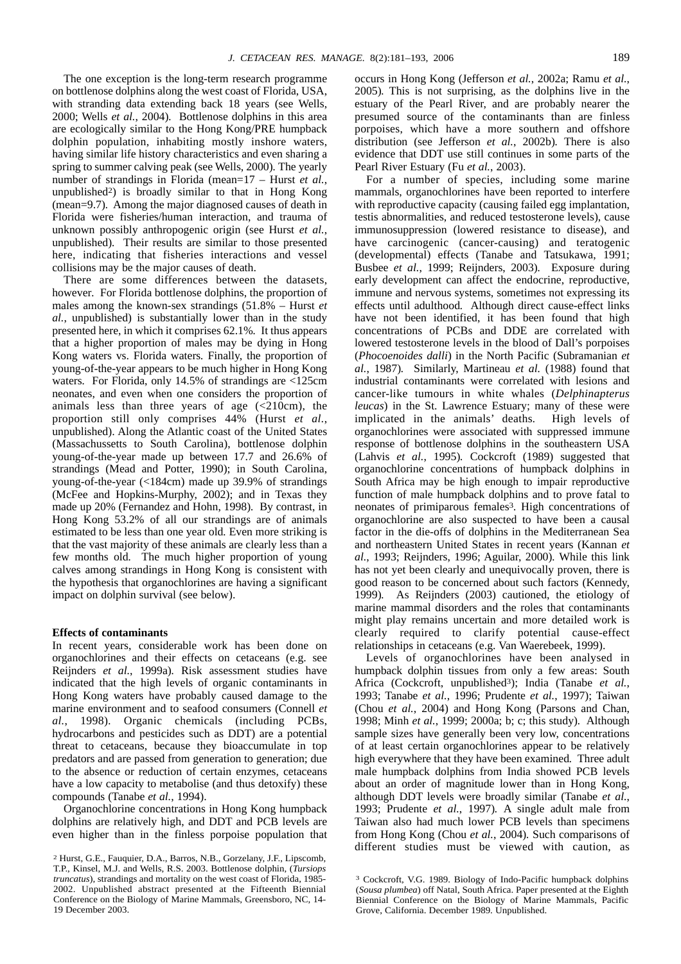The one exception is the long-term research programme on bottlenose dolphins along the west coast of Florida, USA, with stranding data extending back 18 years (see Wells, 2000; Wells *et al.*, 2004)*.* Bottlenose dolphins in this area are ecologically similar to the Hong Kong/PRE humpback dolphin population, inhabiting mostly inshore waters, having similar life history characteristics and even sharing a spring to summer calving peak (see Wells, 2000)*.* The yearly number of strandings in Florida (mean=17 – Hurst *et al.*, unpublished2) is broadly similar to that in Hong Kong (mean=9.7)*.* Among the major diagnosed causes of death in Florida were fisheries/human interaction, and trauma of unknown possibly anthropogenic origin (see Hurst *et al.*, unpublished)*.* Their results are similar to those presented here, indicating that fisheries interactions and vessel collisions may be the major causes of death.

There are some differences between the datasets, however*.* For Florida bottlenose dolphins, the proportion of males among the known-sex strandings (51.8% – Hurst *et al.*, unpublished) is substantially lower than in the study presented here, in which it comprises 62.1%*.* It thus appears that a higher proportion of males may be dying in Hong Kong waters vs. Florida waters*.* Finally, the proportion of young-of-the-year appears to be much higher in Hong Kong waters*.* For Florida, only 14.5% of strandings are <125cm neonates, and even when one considers the proportion of animals less than three years of age  $(<210cm)$ , the proportion still only comprises 44% (Hurst *et al.*, unpublished). Along the Atlantic coast of the United States (Massachussetts to South Carolina), bottlenose dolphin young-of-the-year made up between 17.7 and 26.6% of strandings (Mead and Potter, 1990); in South Carolina, young-of-the-year (<184cm) made up 39.9% of strandings (McFee and Hopkins-Murphy, 2002); and in Texas they made up 20% (Fernandez and Hohn, 1998)*.* By contrast, in Hong Kong 53.2% of all our strandings are of animals estimated to be less than one year old*.* Even more striking is that the vast majority of these animals are clearly less than a few months old*.* The much higher proportion of young calves among strandings in Hong Kong is consistent with the hypothesis that organochlorines are having a significant impact on dolphin survival (see below).

## **Effects of contaminants**

In recent years, considerable work has been done on organochlorines and their effects on cetaceans (e.g. see Reijnders *et al.*, 1999a)*.* Risk assessment studies have indicated that the high levels of organic contaminants in Hong Kong waters have probably caused damage to the marine environment and to seafood consumers (Connell *et al.*, 1998)*.* Organic chemicals (including PCBs, hydrocarbons and pesticides such as DDT) are a potential threat to cetaceans, because they bioaccumulate in top predators and are passed from generation to generation; due to the absence or reduction of certain enzymes, cetaceans have a low capacity to metabolise (and thus detoxify) these compounds (Tanabe *et al.*, 1994).

Organochlorine concentrations in Hong Kong humpback dolphins are relatively high, and DDT and PCB levels are even higher than in the finless porpoise population that occurs in Hong Kong (Jefferson *et al.*, 2002a; Ramu *et al.*, 2005)*.* This is not surprising, as the dolphins live in the estuary of the Pearl River, and are probably nearer the presumed source of the contaminants than are finless porpoises, which have a more southern and offshore distribution (see Jefferson *et al.*, 2002b)*.* There is also evidence that DDT use still continues in some parts of the Pearl River Estuary (Fu *et al.*, 2003).

For a number of species, including some marine mammals, organochlorines have been reported to interfere with reproductive capacity (causing failed egg implantation, testis abnormalities, and reduced testosterone levels), cause immunosuppression (lowered resistance to disease), and have carcinogenic (cancer-causing) and teratogenic (developmental) effects (Tanabe and Tatsukawa, 1991; Busbee *et al.*, 1999; Reijnders, 2003)*.* Exposure during early development can affect the endocrine, reproductive, immune and nervous systems, sometimes not expressing its effects until adulthood*.* Although direct cause-effect links have not been identified, it has been found that high concentrations of PCBs and DDE are correlated with lowered testosterone levels in the blood of Dall's porpoises (*Phocoenoides dalli*) in the North Pacific (Subramanian *et al.*, 1987)*.* Similarly, Martineau *et al.* (1988) found that industrial contaminants were correlated with lesions and cancer-like tumours in white whales (*Delphinapterus leucas*) in the St. Lawrence Estuary; many of these were implicated in the animals' deaths*.* High levels of organochlorines were associated with suppressed immune response of bottlenose dolphins in the southeastern USA (Lahvis *et al.*, 1995)*.* Cockcroft (1989) suggested that organochlorine concentrations of humpback dolphins in South Africa may be high enough to impair reproductive function of male humpback dolphins and to prove fatal to neonates of primiparous females3*.* High concentrations of organochlorine are also suspected to have been a causal factor in the die-offs of dolphins in the Mediterranean Sea and northeastern United States in recent years (Kannan *et al.*, 1993; Reijnders, 1996; Aguilar, 2000)*.* While this link has not yet been clearly and unequivocally proven, there is good reason to be concerned about such factors (Kennedy, 1999)*.* As Reijnders (2003) cautioned, the etiology of marine mammal disorders and the roles that contaminants might play remains uncertain and more detailed work is clearly required to clarify potential cause-effect relationships in cetaceans (e.g. Van Waerebeek, 1999).

Levels of organochlorines have been analysed in humpback dolphin tissues from only a few areas: South Africa (Cockcroft, unpublished<sup>3</sup>); India (Tanabe *et al.*, 1993; Tanabe *et al.*, 1996; Prudente *et al.*, 1997); Taiwan (Chou *et al.*, 2004) and Hong Kong (Parsons and Chan, 1998; Minh *et al.*, 1999; 2000a; b; c; this study)*.* Although sample sizes have generally been very low, concentrations of at least certain organochlorines appear to be relatively high everywhere that they have been examined*.* Three adult male humpback dolphins from India showed PCB levels about an order of magnitude lower than in Hong Kong, although DDT levels were broadly similar (Tanabe *et al.*, 1993; Prudente *et al.*, 1997)*.* A single adult male from Taiwan also had much lower PCB levels than specimens from Hong Kong (Chou *et al.*, 2004)*.* Such comparisons of different studies must be viewed with caution, as

<sup>2</sup> Hurst, G.E., Fauquier, D.A., Barros, N.B., Gorzelany, J.F., Lipscomb, T.P., Kinsel, M.J. and Wells, R.S. 2003. Bottlenose dolphin*,* (*Tursiops truncatus*), strandings and mortality on the west coast of Florida, 1985- 2002. Unpublished abstract presented at the Fifteenth Biennial Conference on the Biology of Marine Mammals, Greensboro, NC, 14- 19 December 2003.

<sup>3</sup> Cockcroft, V.G. 1989. Biology of Indo-Pacific humpback dolphins (*Sousa plumbea*) off Natal, South Africa. Paper presented at the Eighth Biennial Conference on the Biology of Marine Mammals, Pacific Grove, California. December 1989. Unpublished.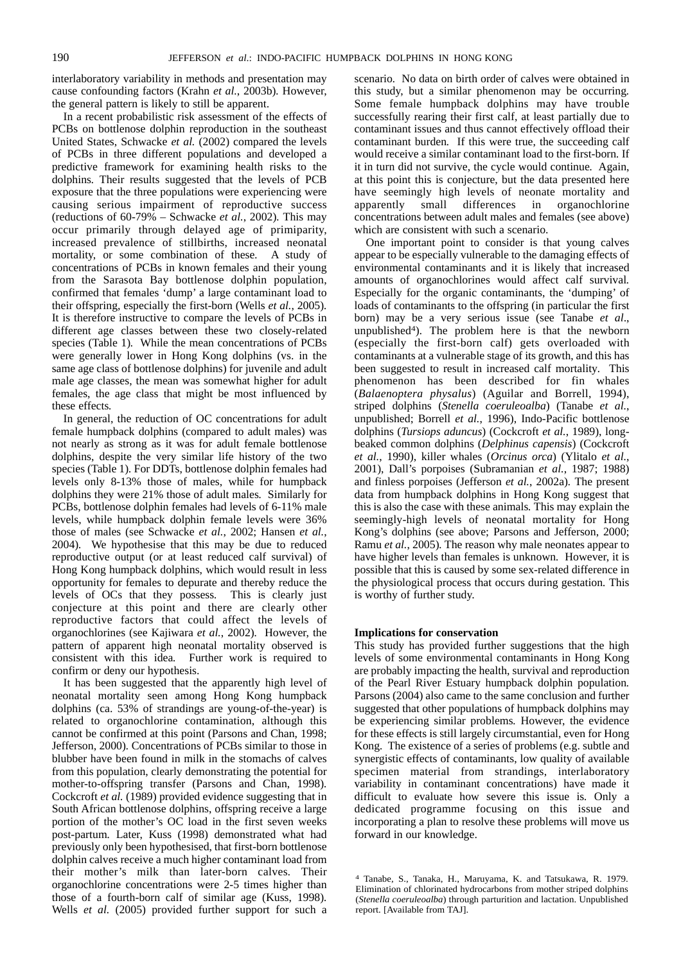interlaboratory variability in methods and presentation may cause confounding factors (Krahn *et al.*, 2003b)*.* However, the general pattern is likely to still be apparent.

In a recent probabilistic risk assessment of the effects of PCBs on bottlenose dolphin reproduction in the southeast United States, Schwacke *et al.* (2002) compared the levels of PCBs in three different populations and developed a predictive framework for examining health risks to the dolphins*.* Their results suggested that the levels of PCB exposure that the three populations were experiencing were causing serious impairment of reproductive success (reductions of 60-79% – Schwacke *et al.*, 2002)*.* This may occur primarily through delayed age of primiparity, increased prevalence of stillbirths, increased neonatal mortality, or some combination of these*.* A study of concentrations of PCBs in known females and their young from the Sarasota Bay bottlenose dolphin population, confirmed that females 'dump' a large contaminant load to their offspring, especially the first-born (Wells *et al.*, 2005)*.* It is therefore instructive to compare the levels of PCBs in different age classes between these two closely-related species (Table 1)*.* While the mean concentrations of PCBs were generally lower in Hong Kong dolphins (vs. in the same age class of bottlenose dolphins) for juvenile and adult male age classes, the mean was somewhat higher for adult females, the age class that might be most influenced by these effects*.* 

In general, the reduction of OC concentrations for adult female humpback dolphins (compared to adult males) was not nearly as strong as it was for adult female bottlenose dolphins, despite the very similar life history of the two species (Table 1)*.* For DDTs, bottlenose dolphin females had levels only 8-13% those of males, while for humpback dolphins they were 21% those of adult males*.* Similarly for PCBs, bottlenose dolphin females had levels of 6-11% male levels, while humpback dolphin female levels were 36% those of males (see Schwacke *et al.*, 2002; Hansen *et al.*, 2004)*.* We hypothesise that this may be due to reduced reproductive output (or at least reduced calf survival) of Hong Kong humpback dolphins, which would result in less opportunity for females to depurate and thereby reduce the levels of OCs that they possess*.* This is clearly just conjecture at this point and there are clearly other reproductive factors that could affect the levels of organochlorines (see Kajiwara *et al.*, 2002)*.* However, the pattern of apparent high neonatal mortality observed is consistent with this idea*.* Further work is required to confirm or deny our hypothesis.

It has been suggested that the apparently high level of neonatal mortality seen among Hong Kong humpback dolphins (ca. 53% of strandings are young-of-the-year) is related to organochlorine contamination, although this cannot be confirmed at this point (Parsons and Chan, 1998; Jefferson, 2000)*.* Concentrations of PCBs similar to those in blubber have been found in milk in the stomachs of calves from this population, clearly demonstrating the potential for mother-to-offspring transfer (Parsons and Chan, 1998)*.* Cockcroft *et al.* (1989) provided evidence suggesting that in South African bottlenose dolphins, offspring receive a large portion of the mother's OC load in the first seven weeks post-partum*.* Later, Kuss (1998) demonstrated what had previously only been hypothesised, that first-born bottlenose dolphin calves receive a much higher contaminant load from their mother's milk than later-born calves*.* Their organochlorine concentrations were 2-5 times higher than those of a fourth-born calf of similar age (Kuss, 1998)*.* Wells *et al.* (2005) provided further support for such a scenario*.* No data on birth order of calves were obtained in this study, but a similar phenomenon may be occurring*.* Some female humpback dolphins may have trouble successfully rearing their first calf, at least partially due to contaminant issues and thus cannot effectively offload their contaminant burden*.* If this were true, the succeeding calf would receive a similar contaminant load to the first-born*.* If it in turn did not survive, the cycle would continue*.* Again, at this point this is conjecture, but the data presented here have seemingly high levels of neonate mortality and apparently small differences in organochlorine concentrations between adult males and females (see above) which are consistent with such a scenario.

One important point to consider is that young calves appear to be especially vulnerable to the damaging effects of environmental contaminants and it is likely that increased amounts of organochlorines would affect calf survival*.* Especially for the organic contaminants, the 'dumping' of loads of contaminants to the offspring (in particular the first born) may be a very serious issue (see Tanabe *et al*., unpublished4)*.* The problem here is that the newborn (especially the first-born calf) gets overloaded with contaminants at a vulnerable stage of its growth, and this has been suggested to result in increased calf mortality*.* This phenomenon has been described for fin whales (*Balaenoptera physalus*) (Aguilar and Borrell, 1994), striped dolphins (*Stenella coeruleoalba*) (Tanabe *et al.*, unpublished; Borrell *et al.*, 1996), Indo-Pacific bottlenose dolphins (*Tursiops aduncus*) (Cockcroft *et al.*, 1989), longbeaked common dolphins (*Delphinus capensis*) (Cockcroft *et al.*, 1990), killer whales (*Orcinus orca*) (Ylitalo *et al.*, 2001), Dall's porpoises (Subramanian *et al.*, 1987; 1988) and finless porpoises (Jefferson *et al.*, 2002a)*.* The present data from humpback dolphins in Hong Kong suggest that this is also the case with these animals*.* This may explain the seemingly-high levels of neonatal mortality for Hong Kong's dolphins (see above; Parsons and Jefferson, 2000; Ramu *et al.*, 2005)*.* The reason why male neonates appear to have higher levels than females is unknown*.* However, it is possible that this is caused by some sex-related difference in the physiological process that occurs during gestation*.* This is worthy of further study.

## **Implications for conservation**

This study has provided further suggestions that the high levels of some environmental contaminants in Hong Kong are probably impacting the health, survival and reproduction of the Pearl River Estuary humpback dolphin population*.* Parsons (2004) also came to the same conclusion and further suggested that other populations of humpback dolphins may be experiencing similar problems*.* However, the evidence for these effects is still largely circumstantial, even for Hong Kong*.* The existence of a series of problems (e.g. subtle and synergistic effects of contaminants, low quality of available specimen material from strandings, interlaboratory variability in contaminant concentrations) have made it difficult to evaluate how severe this issue is*.* Only a dedicated programme focusing on this issue and incorporating a plan to resolve these problems will move us forward in our knowledge.

<sup>4</sup> Tanabe, S., Tanaka, H., Maruyama, K. and Tatsukawa, R. 1979. Elimination of chlorinated hydrocarbons from mother striped dolphins (*Stenella coeruleoalba*) through parturition and lactation. Unpublished report. [Available from TAJ].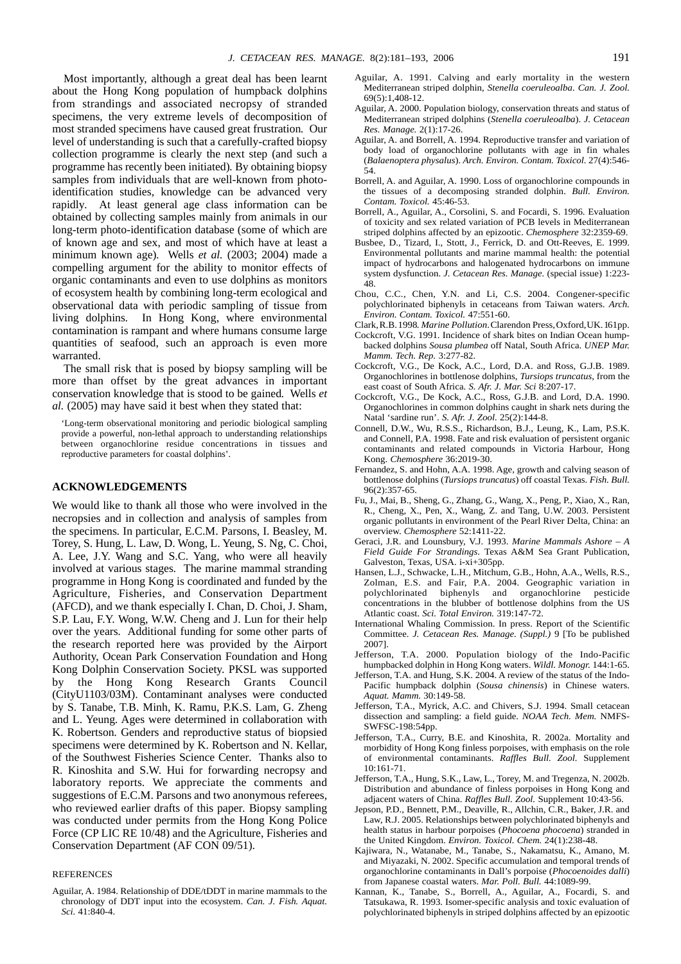Most importantly, although a great deal has been learnt about the Hong Kong population of humpback dolphins from strandings and associated necropsy of stranded specimens, the very extreme levels of decomposition of most stranded specimens have caused great frustration*.* Our level of understanding is such that a carefully-crafted biopsy collection programme is clearly the next step (and such a programme has recently been initiated)*.* By obtaining biopsy samples from individuals that are well-known from photoidentification studies, knowledge can be advanced very rapidly*.* At least general age class information can be obtained by collecting samples mainly from animals in our long-term photo-identification database (some of which are of known age and sex, and most of which have at least a minimum known age)*.* Wells *et al.* (2003; 2004) made a compelling argument for the ability to monitor effects of organic contaminants and even to use dolphins as monitors of ecosystem health by combining long-term ecological and observational data with periodic sampling of tissue from living dolphins*.* In Hong Kong, where environmental contamination is rampant and where humans consume large quantities of seafood, such an approach is even more warranted.

The small risk that is posed by biopsy sampling will be more than offset by the great advances in important conservation knowledge that is stood to be gained*.* Wells *et al.* (2005) may have said it best when they stated that:

'Long-term observational monitoring and periodic biological sampling provide a powerful, non-lethal approach to understanding relationships between organochlorine residue concentrations in tissues and reproductive parameters for coastal dolphins'.

## **ACKNOWLEDGEMENTS**

We would like to thank all those who were involved in the necropsies and in collection and analysis of samples from the specimens*.* In particular, E.C.M. Parsons, I. Beasley, M. Torey, S. Hung, L. Law, D. Wong, L. Yeung, S. Ng, C. Choi, A. Lee, J.Y. Wang and S.C. Yang, who were all heavily involved at various stages*.* The marine mammal stranding programme in Hong Kong is coordinated and funded by the Agriculture, Fisheries, and Conservation Department (AFCD), and we thank especially I. Chan, D. Choi, J. Sham, S.P. Lau, F.Y. Wong, W.W. Cheng and J. Lun for their help over the years*.* Additional funding for some other parts of the research reported here was provided by the Airport Authority, Ocean Park Conservation Foundation and Hong Kong Dolphin Conservation Society. PKSL was supported by the Hong Kong Research Grants Council (CityU1103/03M). Contaminant analyses were conducted by S. Tanabe, T.B. Minh, K. Ramu, P.K.S. Lam, G. Zheng and L. Yeung*.* Ages were determined in collaboration with K. Robertson*.* Genders and reproductive status of biopsied specimens were determined by K. Robertson and N. Kellar, of the Southwest Fisheries Science Center*.* Thanks also to R. Kinoshita and S.W. Hui for forwarding necropsy and laboratory reports*.* We appreciate the comments and suggestions of E.C.M. Parsons and two anonymous referees, who reviewed earlier drafts of this paper*.* Biopsy sampling was conducted under permits from the Hong Kong Police Force (CP LIC RE 10/48) and the Agriculture, Fisheries and Conservation Department (AF CON 09/51).

#### **REFERENCES**

Aguilar, A. 1984. Relationship of DDE/tDDT in marine mammals to the chronology of DDT input into the ecosystem. *Can. J. Fish. Aquat. Sci.* 41:840-4.

- Aguilar, A. 1991. Calving and early mortality in the western Mediterranean striped dolphin, *Stenella coeruleoalba*. *Can. J. Zool.*  $69(5):1,408-12.$
- Aguilar, A. 2000. Population biology, conservation threats and status of Mediterranean striped dolphins (*Stenella coeruleoalba*). *J. Cetacean Res. Manage.* 2(1):17-26.
- Aguilar, A. and Borrell, A. 1994. Reproductive transfer and variation of body load of organochlorine pollutants with age in fin whales (*Balaenoptera physalus*). *Arch. Environ. Contam. Toxicol.* 27(4):546-  $\overline{54}$
- Borrell, A. and Aguilar, A. 1990. Loss of organochlorine compounds in the tissues of a decomposing stranded dolphin. *Bull. Environ. Contam. Toxicol.* 45:46-53.
- Borrell, A., Aguilar, A., Corsolini, S. and Focardi, S. 1996. Evaluation of toxicity and sex related variation of PCB levels in Mediterranean striped dolphins affected by an epizootic. *Chemosphere* 32:2359-69.
- Busbee, D., Tizard, I., Stott, J., Ferrick, D. and Ott-Reeves, E. 1999. Environmental pollutants and marine mammal health: the potential impact of hydrocarbons and halogenated hydrocarbons on immune system dysfunction. *J. Cetacean Res. Manage.* (special issue) 1:223- 48.
- Chou, C.C., Chen, Y.N. and Li, C.S. 2004. Congener-specific polychlorinated biphenyls in cetaceans from Taiwan waters. *Arch. Environ. Contam. Toxicol.* 47:551-60.
- Clark,R.B.1998. *Marine Pollution*.Clarendon Press,Oxford,UK.161pp.
- Cockcroft, V.G. 1991. Incidence of shark bites on Indian Ocean humpbacked dolphins *Sousa plumbea* off Natal, South Africa. *UNEP Mar. Mamm. Tech. Rep.* 3:277-82.
- Cockcroft, V.G., De Kock, A.C., Lord, D.A. and Ross, G.J.B. 1989. Organochlorines in bottlenose dolphins, *Tursiops truncatus*, from the east coast of South Africa. *S. Afr. J. Mar. Sci* 8:207-17.
- Cockcroft, V.G., De Kock, A.C., Ross, G.J.B. and Lord, D.A. 1990. Organochlorines in common dolphins caught in shark nets during the Natal 'sardine run'. *S. Afr. J. Zool.* 25(2):144-8.
- Connell, D.W., Wu, R.S.S., Richardson, B.J., Leung, K., Lam, P.S.K. and Connell, P.A. 1998. Fate and risk evaluation of persistent organic contaminants and related compounds in Victoria Harbour, Hong Kong. *Chemosphere* 36:2019-30.
- Fernandez, S. and Hohn, A.A. 1998. Age, growth and calving season of bottlenose dolphins (*Tursiops truncatus*) off coastal Texas. *Fish. Bull.* 96(2):357-65.
- Fu, J., Mai, B., Sheng, G., Zhang, G., Wang, X., Peng, P., Xiao, X., Ran, R., Cheng, X., Pen, X., Wang, Z. and Tang, U.W. 2003. Persistent organic pollutants in environment of the Pearl River Delta, China: an overview. *Chemosphere* 52:1411-22.
- Geraci, J.R. and Lounsbury, V.J. 1993. *Marine Mammals Ashore A Field Guide For Strandings*. Texas A&M Sea Grant Publication, Galveston, Texas, USA. i-xi+305pp.
- Hansen, L.J., Schwacke, L.H., Mitchum, G.B., Hohn, A.A., Wells, R.S., Zolman, E.S. and Fair, P.A. 2004. Geographic variation in polychlorinated biphenyls and organochlorine pesticide concentrations in the blubber of bottlenose dolphins from the US Atlantic coast. *Sci. Total Environ.* 319:147-72.
- International Whaling Commission. In press. Report of the Scientific Committee. *J. Cetacean Res. Manage. (Suppl.)* 9 [To be published 2007].
- Jefferson, T.A. 2000. Population biology of the Indo-Pacific humpbacked dolphin in Hong Kong waters. *Wildl. Monogr.* 144:1-65.
- Jefferson, T.A. and Hung, S.K. 2004. A review of the status of the Indo-Pacific humpback dolphin (*Sousa chinensis*) in Chinese waters. *Aquat. Mamm.* 30:149-58.
- Jefferson, T.A., Myrick, A.C. and Chivers, S.J. 1994. Small cetacean dissection and sampling: a field guide. *NOAA Tech. Mem.* NMFS-SWFSC-198:54pp.
- Jefferson, T.A., Curry, B.E. and Kinoshita, R. 2002a. Mortality and morbidity of Hong Kong finless porpoises, with emphasis on the role of environmental contaminants. *Raffles Bull. Zool.* Supplement 10:161-71.
- Jefferson, T.A., Hung, S.K., Law, L., Torey, M. and Tregenza, N. 2002b. Distribution and abundance of finless porpoises in Hong Kong and adjacent waters of China. *Raffles Bull. Zool.* Supplement 10:43-56.
- Jepson, P.D., Bennett, P.M., Deaville, R., Allchin, C.R., Baker, J.R. and Law, R.J. 2005. Relationships between polychlorinated biphenyls and health status in harbour porpoises (*Phocoena phocoena*) stranded in the United Kingdom. *Environ. Toxicol. Chem.* 24(1):238-48.
- Kajiwara, N., Watanabe, M., Tanabe, S., Nakamatsu, K., Amano, M. and Miyazaki, N. 2002. Specific accumulation and temporal trends of organochlorine contaminants in Dall's porpoise (*Phocoenoides dalli*) from Japanese coastal waters. *Mar. Poll. Bull.* 44:1089-99.
- Kannan, K., Tanabe, S., Borrell, A., Aguilar, A., Focardi, S. and Tatsukawa, R. 1993. Isomer-specific analysis and toxic evaluation of polychlorinated biphenyls in striped dolphins affected by an epizootic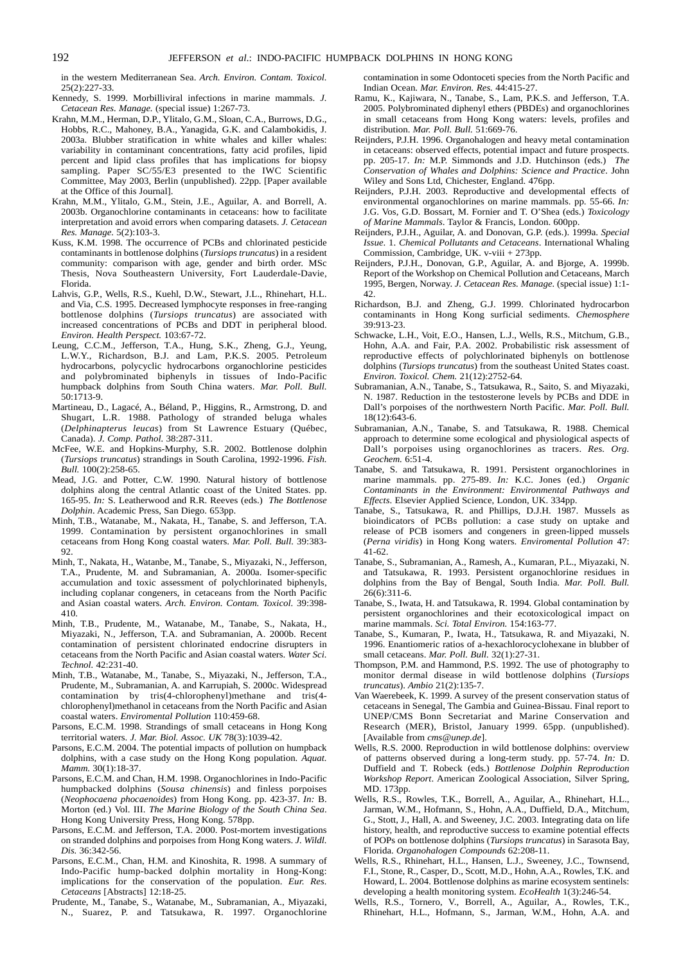in the western Mediterranean Sea. *Arch. Environ. Contam. Toxicol.*  $25(2) \cdot 227 - 33$ 

- Kennedy, S. 1999. Morbilliviral infections in marine mammals. *J. Cetacean Res. Manage.* (special issue) 1:267-73.
- Krahn, M.M., Herman, D.P., Ylitalo, G.M., Sloan, C.A., Burrows, D.G., Hobbs, R.C., Mahoney, B.A., Yanagida, G.K. and Calambokidis, J. 2003a. Blubber stratification in white whales and killer whales: variability in contaminant concentrations, fatty acid profiles, lipid percent and lipid class profiles that has implications for biopsy sampling. Paper SC/55/E3 presented to the IWC Scientific Committee, May 2003, Berlin (unpublished). 22pp. [Paper available at the Office of this Journal].
- Krahn, M.M., Ylitalo, G.M., Stein, J.E., Aguilar, A. and Borrell, A. 2003b. Organochlorine contaminants in cetaceans: how to facilitate interpretation and avoid errors when comparing datasets. *J. Cetacean Res. Manage.* 5(2):103-3.
- Kuss, K.M. 1998. The occurrence of PCBs and chlorinated pesticide contaminants in bottlenose dolphins (*Tursiops truncatus*) in a resident community: comparison with age, gender and birth order. MSc Thesis, Nova Southeastern University, Fort Lauderdale-Davie, Florida.
- Lahvis, G.P., Wells, R.S., Kuehl, D.W., Stewart, J.L., Rhinehart, H.L. and Via, C.S. 1995. Decreased lymphocyte responses in free-ranging bottlenose dolphins (*Tursiops truncatus*) are associated with increased concentrations of PCBs and DDT in peripheral blood. *Environ. Health Perspect.* 103:67-72.
- Leung, C.C.M., Jefferson, T.A., Hung, S.K., Zheng, G.J., Yeung, L.W.Y., Richardson, B.J. and Lam, P.K.S. 2005. Petroleum hydrocarbons, polycyclic hydrocarbons organochlorine pesticides and polybrominated biphenyls in tissues of Indo-Pacific humpback dolphins from South China waters. *Mar. Poll. Bull.* 50:1713-9.
- Martineau, D., Lagacé, A., Béland, P., Higgins, R., Armstrong, D. and Shugart, L.R. 1988. Pathology of stranded beluga whales (*Delphinapterus leucas*) from St Lawrence Estuary (Québec, Canada). *J. Comp. Pathol.* 38:287-311.
- McFee, W.E. and Hopkins-Murphy, S.R. 2002. Bottlenose dolphin (*Tursiops truncatus*) strandings in South Carolina, 1992-1996. *Fish. Bull.* 100(2):258-65.
- Mead, J.G. and Potter, C.W. 1990. Natural history of bottlenose dolphins along the central Atlantic coast of the United States. pp. 165-95. *In:* S. Leatherwood and R.R. Reeves (eds.) *The Bottlenose Dolphin*. Academic Press, San Diego. 653pp.
- Minh, T.B., Watanabe, M., Nakata, H., Tanabe, S. and Jefferson, T.A. 1999. Contamination by persistent organochlorines in small cetaceans from Hong Kong coastal waters. *Mar. Poll. Bull.* 39:383-  $92.$
- Minh, T., Nakata, H., Watanbe, M., Tanabe, S., Miyazaki, N., Jefferson, T.A., Prudente, M. and Subramanian, A. 2000a. Isomer-specific accumulation and toxic assessment of polychlorinated biphenyls, including coplanar congeners, in cetaceans from the North Pacific and Asian coastal waters. *Arch. Environ. Contam. Toxicol.* 39:398- 410.
- Minh, T.B., Prudente, M., Watanabe, M., Tanabe, S., Nakata, H., Miyazaki, N., Jefferson, T.A. and Subramanian, A. 2000b. Recent contamination of persistent chlorinated endocrine disrupters in cetaceans from the North Pacific and Asian coastal waters. *Water Sci. Technol.* 42:231-40.
- Minh, T.B., Watanabe, M., Tanabe, S., Miyazaki, N., Jefferson, T.A., Prudente, M., Subramanian, A. and Karrupiah, S. 2000c. Widespread contamination by tris(4-chlorophenyl)methane and tris(4 chlorophenyl)methanol in cetaceans from the North Pacific and Asian coastal waters. *Enviromental Pollution* 110:459-68.
- Parsons, E.C.M. 1998. Strandings of small cetaceans in Hong Kong territorial waters. *J. Mar. Biol. Assoc. UK* 78(3):1039-42.
- Parsons, E.C.M. 2004. The potential impacts of pollution on humpback dolphins, with a case study on the Hong Kong population. *Aquat. Mamm.* 30(1):18-37.
- Parsons, E.C.M. and Chan, H.M. 1998. Organochlorines in Indo-Pacific humpbacked dolphins (*Sousa chinensis*) and finless porpoises (*Neophocaena phocaenoides*) from Hong Kong. pp. 423-37. *In:* B. Morton (ed.) Vol. III. *The Marine Biology of the South China Sea*. Hong Kong University Press, Hong Kong. 578pp.
- Parsons, E.C.M. and Jefferson, T.A. 2000. Post-mortem investigations on stranded dolphins and porpoises from Hong Kong waters. *J. Wildl. Dis.* 36:342-56.
- Parsons, E.C.M., Chan, H.M. and Kinoshita, R. 1998. A summary of Indo-Pacific hump-backed dolphin mortality in Hong-Kong: implications for the conservation of the population. *Eur. Res. Cetaceans* [Abstracts] 12:18-25.
- Prudente, M., Tanabe, S., Watanabe, M., Subramanian, A., Miyazaki, N., Suarez, P. and Tatsukawa, R. 1997. Organochlorine

contamination in some Odontoceti species from the North Pacific and Indian Ocean. *Mar. Environ. Res.* 44:415-27.

- Ramu, K., Kajiwara, N., Tanabe, S., Lam, P.K.S. and Jefferson, T.A. 2005. Polybrominated diphenyl ethers (PBDEs) and organochlorines in small cetaceans from Hong Kong waters: levels, profiles and distribution. *Mar. Poll. Bull.* 51:669-76.
- Reijnders, P.J.H. 1996. Organohalogen and heavy metal contamination in cetaceans: observed effects, potential impact and future prospects. pp. 205-17. *In:* M.P. Simmonds and J.D. Hutchinson (eds.) *The Conservation of Whales and Dolphins: Science and Practice*. John Wiley and Sons Ltd, Chichester, England. 476pp.
- Reijnders, P.J.H. 2003. Reproductive and developmental effects of environmental organochlorines on marine mammals. pp. 55-66. *In:* J.G. Vos, G.D. Bossart, M. Fornier and T. O'Shea (eds.) *Toxicology of Marine Mammals*. Taylor & Francis, London. 600pp.
- Reijnders, P.J.H., Aguilar, A. and Donovan, G.P. (eds.). 1999a. *Special Issue*. 1. *Chemical Pollutants and Cetaceans*. International Whaling Commission, Cambridge, UK. v-viii + 273pp.
- Reijnders, P.J.H., Donovan, G.P., Aguilar, A. and Bjorge, A. 1999b. Report of the Workshop on Chemical Pollution and Cetaceans, March 1995, Bergen, Norway. *J. Cetacean Res. Manage.* (special issue) 1:1-  $42<sup>°</sup>$
- Richardson, B.J. and Zheng, G.J. 1999. Chlorinated hydrocarbon contaminants in Hong Kong surficial sediments. *Chemosphere* 39:913-23.
- Schwacke, L.H., Voit, E.O., Hansen, L.J., Wells, R.S., Mitchum, G.B., Hohn, A.A. and Fair, P.A. 2002. Probabilistic risk assessment of reproductive effects of polychlorinated biphenyls on bottlenose dolphins (*Tursiops truncatus*) from the southeast United States coast. *Environ. Toxicol. Chem.* 21(12):2752-64.
- Subramanian, A.N., Tanabe, S., Tatsukawa, R., Saito, S. and Miyazaki, N. 1987. Reduction in the testosterone levels by PCBs and DDE in Dall's porpoises of the northwestern North Pacific. *Mar. Poll. Bull.*  $18(12):643-6.$
- Subramanian, A.N., Tanabe, S. and Tatsukawa, R. 1988. Chemical approach to determine some ecological and physiological aspects of Dall's porpoises using organochlorines as tracers. *Res. Org. Geochem.* 6:51-4.
- Tanabe, S. and Tatsukawa, R. 1991. Persistent organochlorines in marine mammals. pp. 275-89. *In:* K.C. Jones (ed.) *Organic Contaminants in the Environment: Environmental Pathways and Effects*. Elsevier Applied Science, London, UK. 334pp.
- Tanabe, S., Tatsukawa, R. and Phillips, D.J.H. 1987. Mussels as bioindicators of PCBs pollution: a case study on uptake and release of PCB isomers and congeners in green-lipped mussels (*Perna viridis*) in Hong Kong waters. *Enviromental Pollution* 47: 41-62.
- Tanabe, S., Subramanian, A., Ramesh, A., Kumaran, P.L., Miyazaki, N. and Tatsukawa, R. 1993. Persistent organochlorine residues in dolphins from the Bay of Bengal, South India. *Mar. Poll. Bull.*  $26(6)$ : 311-6.
- Tanabe, S., Iwata, H. and Tatsukawa, R. 1994. Global contamination by persistent organochlorines and their ecotoxicological impact on marine mammals. *Sci. Total Environ.* 154:163-77.
- Tanabe, S., Kumaran, P., Iwata, H., Tatsukawa, R. and Miyazaki, N. 1996. Enantiomeric ratios of a-hexachlorocyclohexane in blubber of small cetaceans. *Mar. Poll. Bull.* 32(1):27-31.
- Thompson, P.M. and Hammond, P.S. 1992. The use of photography to monitor dermal disease in wild bottlenose dolphins (*Tursiops truncatus*). *Ambio* 21(2):135-7.
- Van Waerebeek, K. 1999. A survey of the present conservation status of cetaceans in Senegal, The Gambia and Guinea-Bissau. Final report to UNEP/CMS Bonn Secretariat and Marine Conservation and Research (MER), Bristol, January 1999. 65pp. (unpublished). [Available from *cms@unep.de*].
- Wells, R.S. 2000. Reproduction in wild bottlenose dolphins: overview of patterns observed during a long-term study. pp. 57-74. *In:* D. Duffield and T. Robeck (eds.) *Bottlenose Dolphin Reproduction Workshop Report*. American Zoological Association, Silver Spring, MD. 173pp.
- Wells, R.S., Rowles, T.K., Borrell, A., Aguilar, A., Rhinehart, H.L., Jarman, W.M., Hofmann, S., Hohn, A.A., Duffield, D.A., Mitchum, G., Stott, J., Hall, A. and Sweeney, J.C. 2003. Integrating data on life history, health, and reproductive success to examine potential effects of POPs on bottlenose dolphins (*Tursiops truncatus*) in Sarasota Bay, Florida. *Organohalogen Compounds* 62:208-11.
- Wells, R.S., Rhinehart, H.L., Hansen, L.J., Sweeney, J.C., Townsend, F.I., Stone, R., Casper, D., Scott, M.D., Hohn, A.A., Rowles, T.K. and Howard, L. 2004. Bottlenose dolphins as marine ecosystem sentinels: developing a health monitoring system. *EcoHealth* 1(3):246-54.
- Wells, R.S., Tornero, V., Borrell, A., Aguilar, A., Rowles, T.K., Rhinehart, H.L., Hofmann, S., Jarman, W.M., Hohn, A.A. and